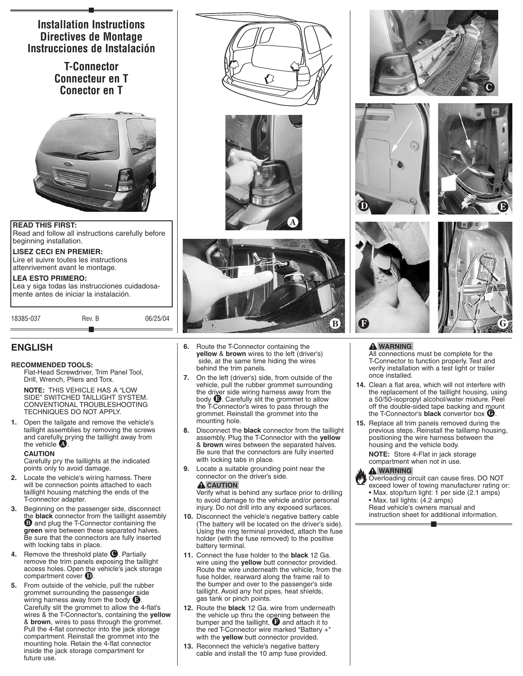

18385-037 Rev. B 06/25/04

# **ENGLISH**

### **RECOMMENDED TOOLS:**

Flat-Head Screwdriver, Trim Panel Tool, Drill, Wrench, Pliers and Torx.

**NOTE:** THIS VEHICLE HAS A "LOW SIDE" SWITCHED TAILLIGHT SYSTEM. CONVENTIONAL TROUBLESHOOTING TECHNIQUES DO NOT APPLY.

**1.** Open the tailgate and remove the vehicle's taillight assemblies by removing the screws and carefully prying the taillight away from the vehicle  $\bigcirc$ .

#### **CAUTION**

Carefully pry the taillights at the indicated points only to avoid damage.

- **2.** Locate the vehicle's wiring harness. There will be connection points attached to each taillight housing matching the ends of the T-connector adapter.
- **3.** Beginning on the passenger side, disconnect the **black** connector from the taillight assembly<br>**<sup>1</sup>** and plug the T-Connector containing the **green** wire between these separated halves. Be sure that the connectors are fully inserted with locking tabs in place.
- Remove the threshold plate <sup>1</sup>. Partially remove the trim panels exposing the taillight access holes. Open the vehicle's jack storage compartment cover g.
- **5.** From outside of the vehicle, pull the rubber grommet surrounding the passenger side wiring harness away from the body  $\bigcirc$ . Carefully slit the grommet to allow the 4-flat's wires & the T-Connector's, containing the **yellow** & **brown**, wires to pass through the grommet. Pull the 4-flat connector into the jack storage compartment. Reinstall the grommet into the mounting hole. Retain the 4-flat connector inside the jack storage compartment for future use.







- **6.** Route the T-Connector containing the **yellow** & **brown** wires to the left (driver's) side, at the same time hiding the wires behind the trim panels.
- **7.** On the left (driver's) side, from outside of the vehicle, pull the rubber grommet surrounding the driver side wiring harness away from the body  $\bigcirc$ . Carefully slit the grommet to allow the T-Connector's wires to pass through the grommet. Reinstall the grommet into the mounting hole.
- **8.** Disconnect the **black** connector from the taillight assembly. Plug the T-Connector with the **yellow** & **brown** wires between the separated halves. Be sure that the connectors are fully inserted with locking tabs in place.
- **9.** Locate a suitable grounding point near the connector on the driver's side.

#### **A** CAUTION

Verify what is behind any surface prior to drilling to avoid damage to the vehicle and/or personal injury. Do not drill into any exposed surfaces.

- **10.** Disconnect the vehicle's negative battery cable (The battery will be located on the driver's side). Using the ring terminal provided, attach the fuse holder (with the fuse removed) to the positive battery terminal.
- **11.** Connect the fuse holder to the **black** 12 Ga. wire using the **yellow** butt connector provided. Route the wire underneath the vehicle, from the fuse holder, rearward along the frame rail to the bumper and over to the passenger's side taillight. Avoid any hot pipes, heat shields, gas tank or pinch points.
- **12.** Route the **black** 12 Ga. wire from underneath the vehicle up thru the opening between the<br>bumper and the taillight,  $\bf{0}$  and attach it to the red T-Connector wire marked "Battery +" with the **yellow** butt connector provided.
- **13.** Reconnect the vehicle's negative battery cable and install the 10 amp fuse provided.









### **WARNING**

All connections must be complete for the T-Connector to function properly. Test and verify installation with a test light or trailer once installed.

- **14.** Clean a flat area, which will not interfere with the replacement of the taillight housing, using a 50/50-isopropyl alcohol/water mixture. Peel off the double-sided tape backing and mount the T-Connector's **black** convertor box  $\mathbf{\Theta}$ .
- **15.** Replace all trim panels removed during the previous steps. Reinstall the taillamp housing, positioning the wire harness between the housing and the vehicle body.

**NOTE:** Store 4-Flat in jack storage compartment when not in use.

#### **WARNING**

Overloading circuit can cause fires. DO NOT exceed lower of towing manufacturer rating or: • Max. stop/turn light: 1 per side (2.1 amps) • Max. tail lights: (4.2 amps) Read vehicle's owners manual and instruction sheet for additional information.